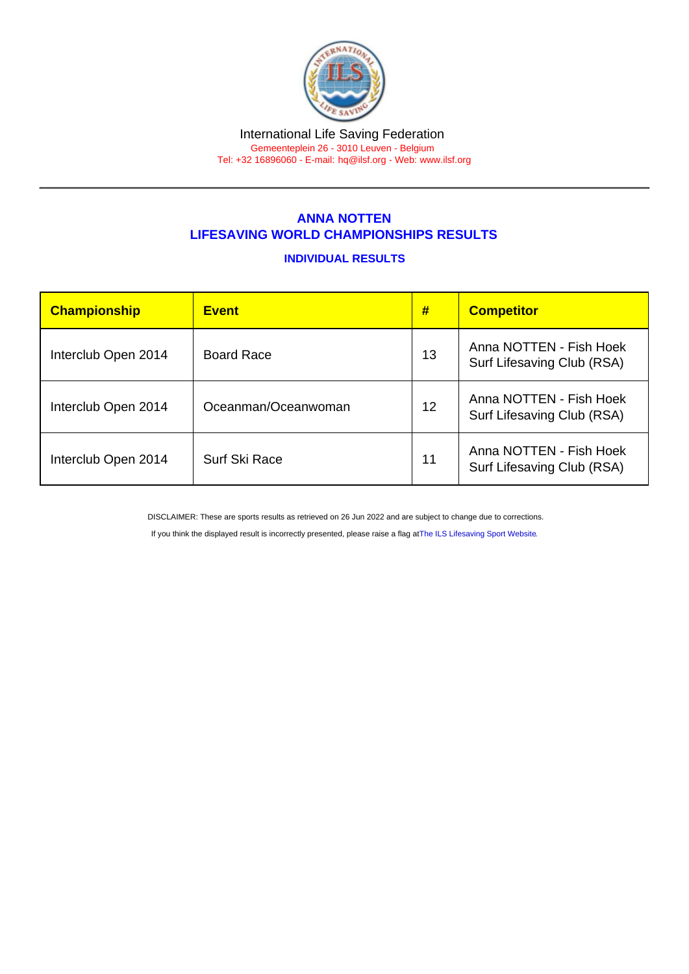#### International Life Saving Federation Gemeenteplein 26 - 3010 Leuven - Belgium

Tel: +32 16896060 - E-mail: [hq@ilsf.org](mailto:hq@ilsf.org) - Web: [www.ilsf.org](https://www.ilsf.org)

## ANNA NOTTEN LIFESAVING WORLD CHAMPIONSHIPS RESULTS

### INDIVIDUAL RESULTS

| Championship        | <b>Event</b>         | #  | <b>Competitor</b>                                     |
|---------------------|----------------------|----|-------------------------------------------------------|
| Interclub Open 2014 | <b>Board Race</b>    | 13 | Anna NOTTEN - Fish Hoek<br>Surf Lifesaving Club (RSA) |
| Interclub Open 2014 | Oceanman/Oceanwoman  | 12 | Anna NOTTEN - Fish Hoek<br>Surf Lifesaving Club (RSA) |
| Interclub Open 2014 | <b>Surf Ski Race</b> | 11 | Anna NOTTEN - Fish Hoek<br>Surf Lifesaving Club (RSA) |

DISCLAIMER: These are sports results as retrieved on 26 Jun 2022 and are subject to change due to corrections.

If you think the displayed result is incorrectly presented, please raise a flag at [The ILS Lifesaving Sport Website.](https://sport.ilsf.org)